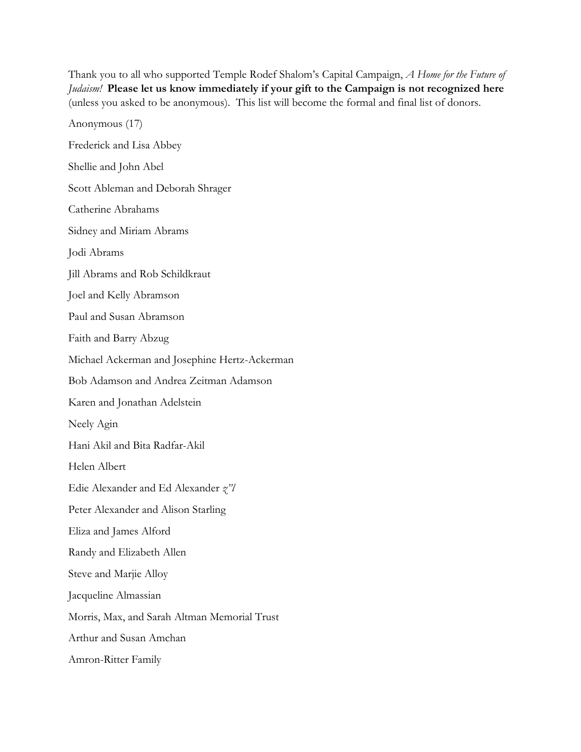Thank you to all who supported Temple Rodef Shalom's Capital Campaign, *A Home for the Future of Judaism!* **Please let us know immediately if your gift to the Campaign is not recognized here** (unless you asked to be anonymous). This list will become the formal and final list of donors.

Anonymous (17) Frederick and Lisa Abbey Shellie and John Abel Scott Ableman and Deborah Shrager Catherine Abrahams Sidney and Miriam Abrams Jodi Abrams Jill Abrams and Rob Schildkraut Joel and Kelly Abramson Paul and Susan Abramson Faith and Barry Abzug Michael Ackerman and Josephine Hertz-Ackerman Bob Adamson and Andrea Zeitman Adamson Karen and Jonathan Adelstein Neely Agin Hani Akil and Bita Radfar-Akil Helen Albert Edie Alexander and Ed Alexander *z"l* Peter Alexander and Alison Starling Eliza and James Alford Randy and Elizabeth Allen Steve and Marjie Alloy Jacqueline Almassian Morris, Max, and Sarah Altman Memorial Trust Arthur and Susan Amchan Amron-Ritter Family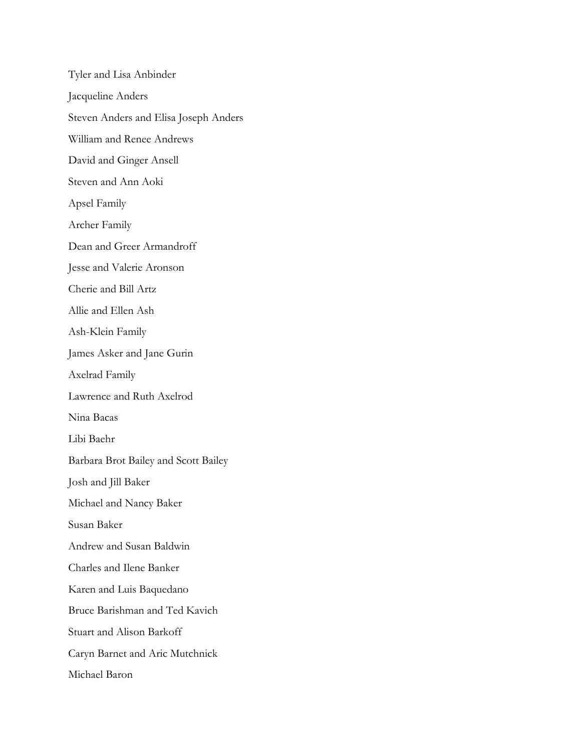Tyler and Lisa Anbinder Jacqueline Anders Steven Anders and Elisa Joseph Anders William and Renee Andrews David and Ginger Ansell Steven and Ann Aoki Apsel Family Archer Family Dean and Greer Armandroff Jesse and Valerie Aronson Cherie and Bill Artz Allie and Ellen Ash Ash-Klein Family James Asker and Jane Gurin Axelrad Family Lawrence and Ruth Axelrod Nina Bacas Libi Baehr Barbara Brot Bailey and Scott Bailey Josh and Jill Baker Michael and Nancy Baker Susan Baker Andrew and Susan Baldwin Charles and Ilene Banker Karen and Luis Baquedano Bruce Barishman and Ted Kavich Stuart and Alison Barkoff Caryn Barnet and Aric Mutchnick Michael Baron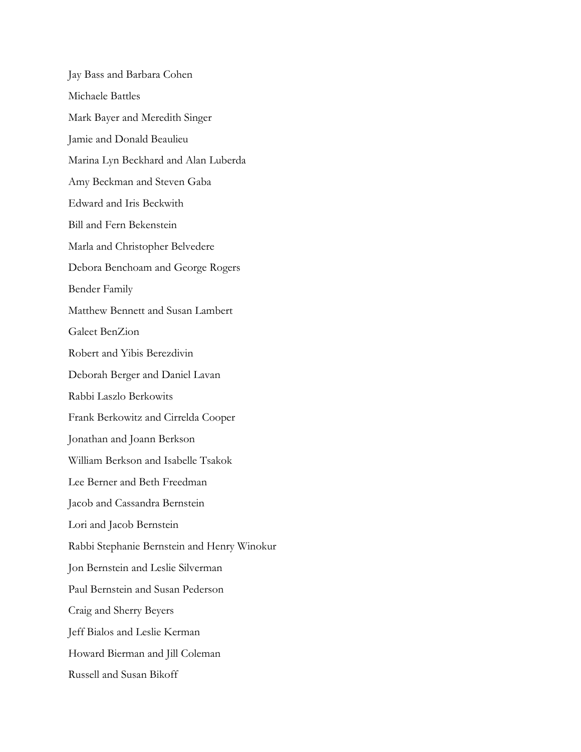Jay Bass and Barbara Cohen Michaele Battles Mark Bayer and Meredith Singer Jamie and Donald Beaulieu Marina Lyn Beckhard and Alan Luberda Amy Beckman and Steven Gaba Edward and Iris Beckwith Bill and Fern Bekenstein Marla and Christopher Belvedere Debora Benchoam and George Rogers Bender Family Matthew Bennett and Susan Lambert Galeet BenZion Robert and Yibis Berezdivin Deborah Berger and Daniel Lavan Rabbi Laszlo Berkowits Frank Berkowitz and Cirrelda Cooper Jonathan and Joann Berkson William Berkson and Isabelle Tsakok Lee Berner and Beth Freedman Jacob and Cassandra Bernstein Lori and Jacob Bernstein Rabbi Stephanie Bernstein and Henry Winokur Jon Bernstein and Leslie Silverman Paul Bernstein and Susan Pederson Craig and Sherry Beyers Jeff Bialos and Leslie Kerman Howard Bierman and Jill Coleman Russell and Susan Bikoff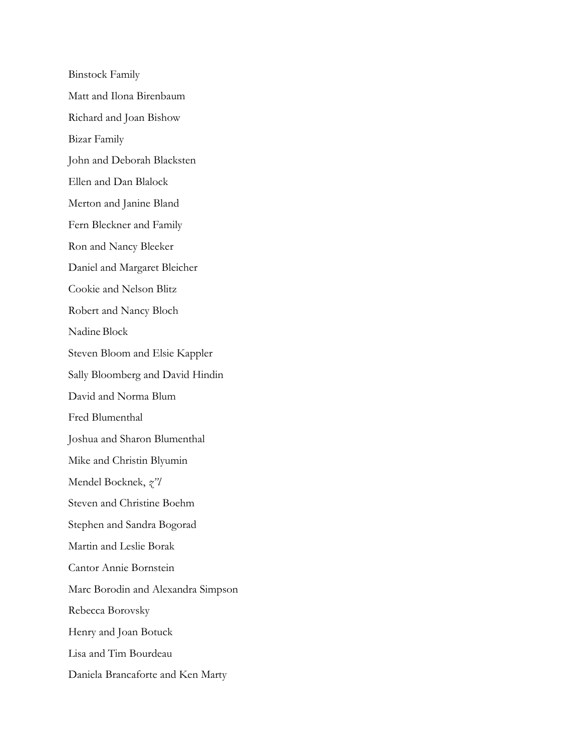Binstock Family Matt and Ilona Birenbaum Richard and Joan Bishow Bizar Family John and Deborah Blacksten Ellen and Dan Blalock Merton and Janine Bland Fern Bleckner and Family Ron and Nancy Bleeker Daniel and Margaret Bleicher Cookie and Nelson Blitz Robert and Nancy Bloch Nadine Block Steven Bloom and Elsie Kappler Sally Bloomberg and David Hindin David and Norma Blum Fred Blumenthal Joshua and Sharon Blumenthal Mike and Christin Blyumin Mendel Bocknek, *z"l* Steven and Christine Boehm Stephen and Sandra Bogorad Martin and Leslie Borak Cantor Annie Bornstein Marc Borodin and Alexandra Simpson Rebecca Borovsky Henry and Joan Botuck Lisa and Tim Bourdeau Daniela Brancaforte and Ken Marty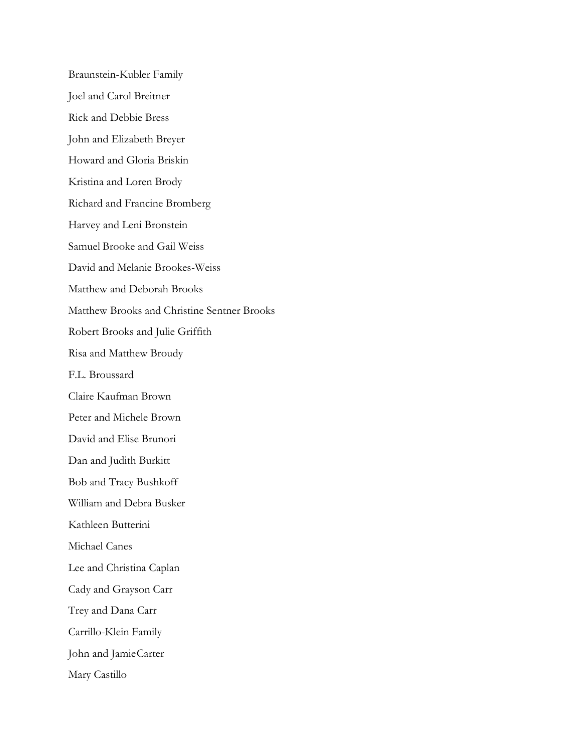Braunstein-Kubler Family Joel and Carol Breitner Rick and Debbie Bress John and Elizabeth Breyer Howard and Gloria Briskin Kristina and Loren Brody Richard and Francine Bromberg Harvey and Leni Bronstein Samuel Brooke and Gail Weiss David and Melanie Brookes-Weiss Matthew and Deborah Brooks Matthew Brooks and Christine Sentner Brooks Robert Brooks and Julie Griffith Risa and Matthew Broudy F.L. Broussard Claire Kaufman Brown Peter and Michele Brown David and Elise Brunori Dan and Judith Burkitt Bob and Tracy Bushkoff William and Debra Busker Kathleen Butterini Michael Canes Lee and Christina Caplan Cady and Grayson Carr Trey and Dana Carr Carrillo-Klein Family John and JamieCarter Mary Castillo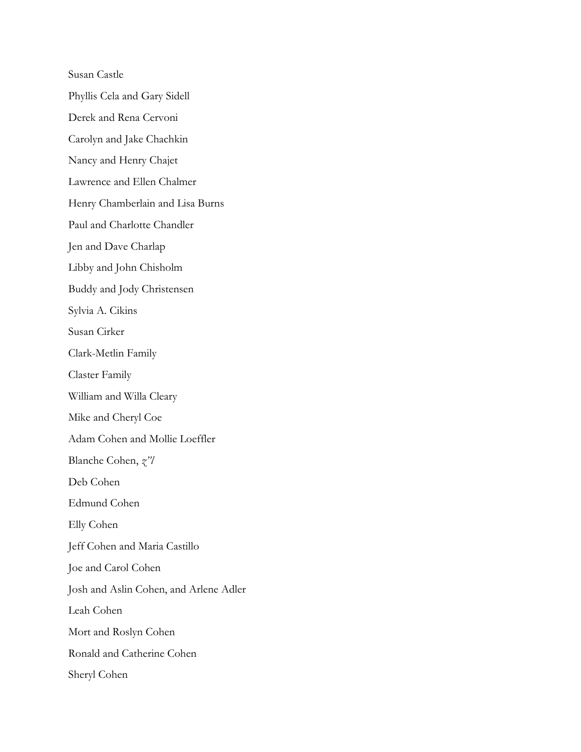Susan Castle

Phyllis Cela and Gary Sidell

Derek and Rena Cervoni

Carolyn and Jake Chachkin

Nancy and Henry Chajet

Lawrence and Ellen Chalmer

Henry Chamberlain and Lisa Burns

Paul and Charlotte Chandler

Jen and Dave Charlap

Libby and John Chisholm

Buddy and Jody Christensen

Sylvia A. Cikins

Susan Cirker

Clark-Metlin Family

Claster Family

William and Willa Cleary

Mike and Cheryl Coe

Adam Cohen and Mollie Loeffler

Blanche Cohen, *z"l*

Deb Cohen

Edmund Cohen

Elly Cohen

Jeff Cohen and Maria Castillo

Joe and Carol Cohen

Josh and Aslin Cohen, and Arlene Adler

Leah Cohen

Mort and Roslyn Cohen

Ronald and Catherine Cohen

Sheryl Cohen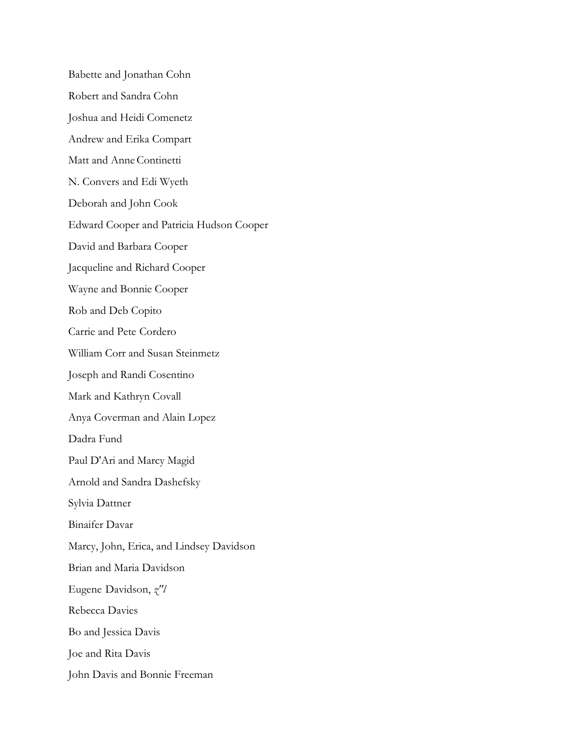Babette and Jonathan Cohn Robert and Sandra Cohn Joshua and Heidi Comenetz Andrew and Erika Compart Matt and AnneContinetti N. Convers and Edi Wyeth Deborah and John Cook Edward Cooper and Patricia Hudson Cooper David and Barbara Cooper Jacqueline and Richard Cooper Wayne and Bonnie Cooper Rob and Deb Copito Carrie and Pete Cordero William Corr and Susan Steinmetz Joseph and Randi Cosentino Mark and Kathryn Covall Anya Coverman and Alain Lopez Dadra Fund Paul D'Ari and Marcy Magid Arnold and Sandra Dashefsky Sylvia Dattner Binaifer Davar Marcy, John, Erica, and Lindsey Davidson Brian and Maria Davidson Eugene Davidson, *z"l* Rebecca Davies Bo and Jessica Davis Joe and Rita Davis John Davis and Bonnie Freeman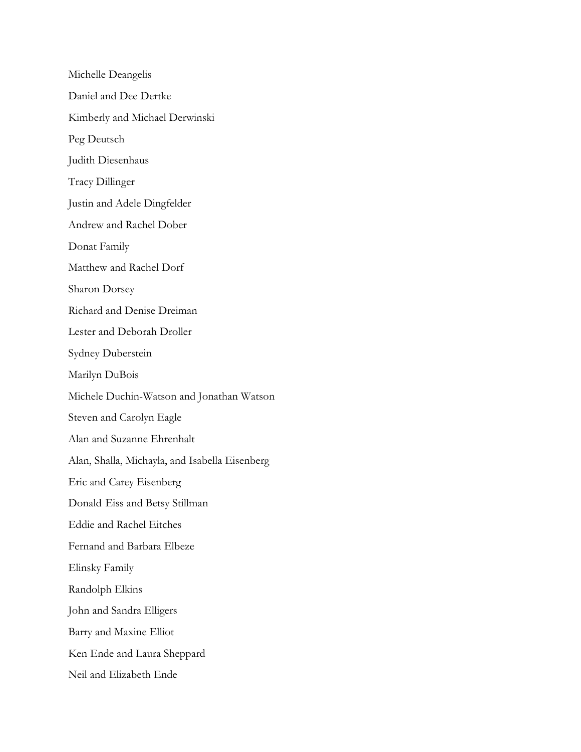Michelle Deangelis Daniel and Dee Dertke Kimberly and Michael Derwinski Peg Deutsch Judith Diesenhaus Tracy Dillinger Justin and Adele Dingfelder Andrew and Rachel Dober Donat Family Matthew and Rachel Dorf Sharon Dorsey Richard and Denise Dreiman Lester and Deborah Droller Sydney Duberstein Marilyn DuBois Michele Duchin-Watson and Jonathan Watson Steven and Carolyn Eagle Alan and Suzanne Ehrenhalt Alan, Shalla, Michayla, and Isabella Eisenberg Eric and Carey Eisenberg Donald Eiss and Betsy Stillman Eddie and Rachel Eitches Fernand and Barbara Elbeze Elinsky Family Randolph Elkins John and Sandra Elligers Barry and Maxine Elliot Ken Ende and Laura Sheppard Neil and Elizabeth Ende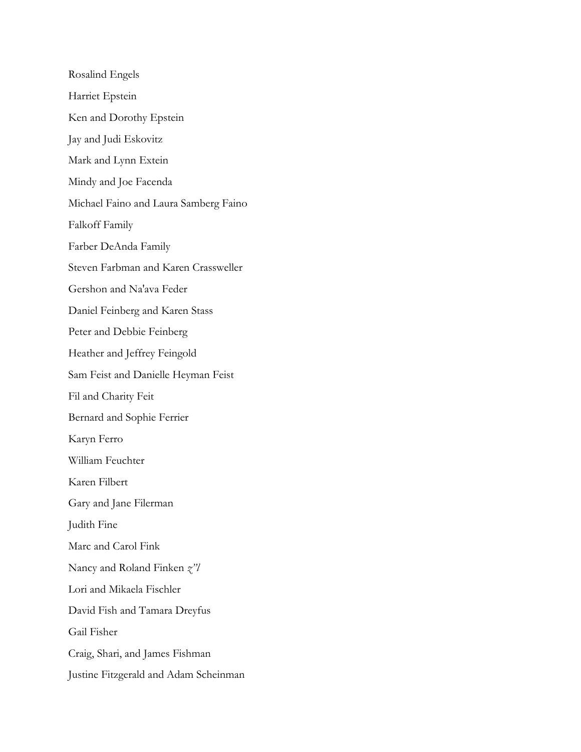Rosalind Engels Harriet Epstein Ken and Dorothy Epstein Jay and Judi Eskovitz Mark and Lynn Extein Mindy and Joe Facenda Michael Faino and Laura Samberg Faino Falkoff Family Farber DeAnda Family Steven Farbman and Karen Crassweller Gershon and Na'ava Feder Daniel Feinberg and Karen Stass Peter and Debbie Feinberg Heather and Jeffrey Feingold Sam Feist and Danielle Heyman Feist Fil and Charity Feit Bernard and Sophie Ferrier Karyn Ferro William Feuchter Karen Filbert Gary and Jane Filerman Judith Fine Marc and Carol Fink Nancy and Roland Finken *z"l* Lori and Mikaela Fischler David Fish and Tamara Dreyfus Gail Fisher Craig, Shari, and James Fishman Justine Fitzgerald and Adam Scheinman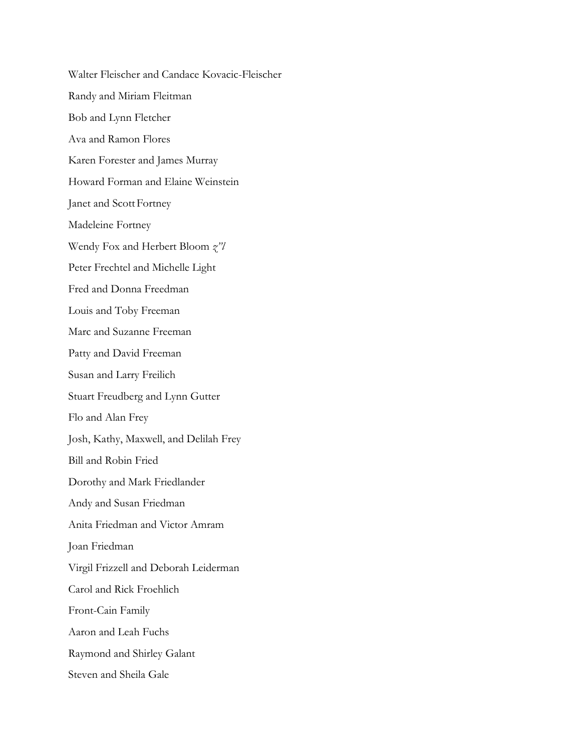Walter Fleischer and Candace Kovacic-Fleischer Randy and Miriam Fleitman Bob and Lynn Fletcher Ava and Ramon Flores Karen Forester and James Murray Howard Forman and Elaine Weinstein Janet and Scott Fortney Madeleine Fortney Wendy Fox and Herbert Bloom *z"l* Peter Frechtel and Michelle Light Fred and Donna Freedman Louis and Toby Freeman Marc and Suzanne Freeman Patty and David Freeman Susan and Larry Freilich Stuart Freudberg and Lynn Gutter Flo and Alan Frey Josh, Kathy, Maxwell, and Delilah Frey Bill and Robin Fried Dorothy and Mark Friedlander Andy and Susan Friedman Anita Friedman and Victor Amram Joan Friedman Virgil Frizzell and Deborah Leiderman Carol and Rick Froehlich Front-Cain Family Aaron and Leah Fuchs Raymond and Shirley Galant Steven and Sheila Gale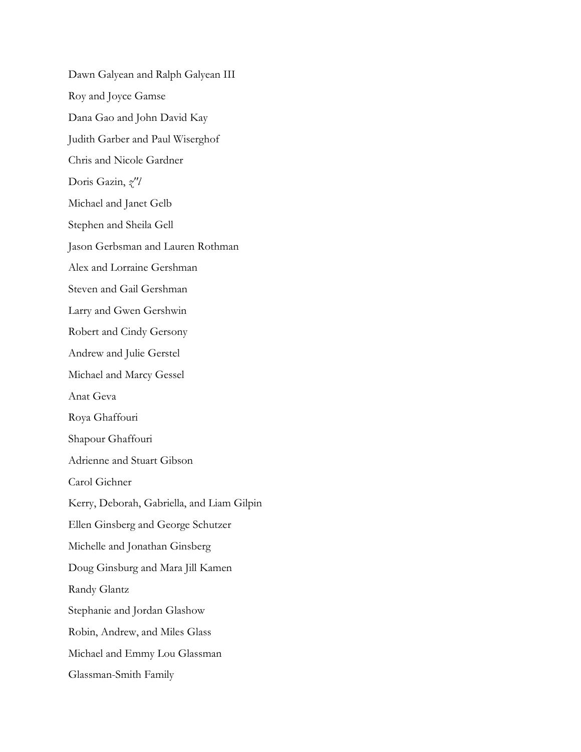Dawn Galyean and Ralph Galyean III Roy and Joyce Gamse Dana Gao and John David Kay Judith Garber and Paul Wiserghof Chris and Nicole Gardner Doris Gazin, *z"l* Michael and Janet Gelb Stephen and Sheila Gell Jason Gerbsman and Lauren Rothman Alex and Lorraine Gershman Steven and Gail Gershman Larry and Gwen Gershwin Robert and Cindy Gersony Andrew and Julie Gerstel Michael and Marcy Gessel Anat Geva Roya Ghaffouri Shapour Ghaffouri Adrienne and Stuart Gibson Carol Gichner Kerry, Deborah, Gabriella, and Liam Gilpin Ellen Ginsberg and George Schutzer Michelle and Jonathan Ginsberg Doug Ginsburg and Mara Jill Kamen Randy Glantz Stephanie and Jordan Glashow Robin, Andrew, and Miles Glass Michael and Emmy Lou Glassman Glassman-Smith Family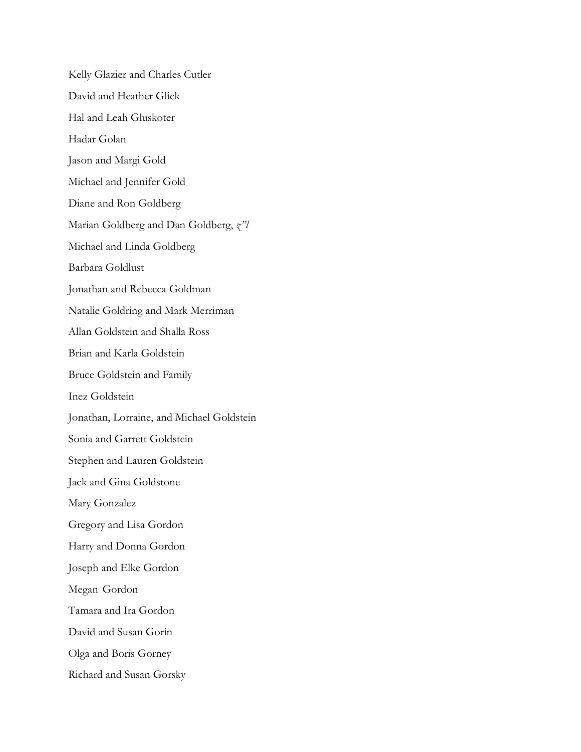Kelly Glazier and Charles Cutler David and Heather Glick Hal and Leah Gluskoter Hadar Golan Jason and Margi Gold Michael and Jennifer Gold Diane and Ron Goldberg Marian Goldberg and Dan Goldberg, *z"l* Michael and Linda Goldberg Barbara Goldlust Jonathan and Rebecca Goldman Natalie Goldring and Mark Merriman Allan Goldstein and Shalla Ross Brian and Karla Goldstein Bruce Goldstein and Family Inez Goldstein Jonathan, Lorraine, and Michael Goldstein Sonia and Garrett Goldstein Stephen and Lauren Goldstein Jack and Gina Goldstone Mary Gonzalez Gregory and Lisa Gordon Harry and Donna Gordon Joseph and Elke Gordon Megan Gordon Tamara and Ira Gordon David and Susan Gorin Olga and Boris Gorney Richard and Susan Gorsky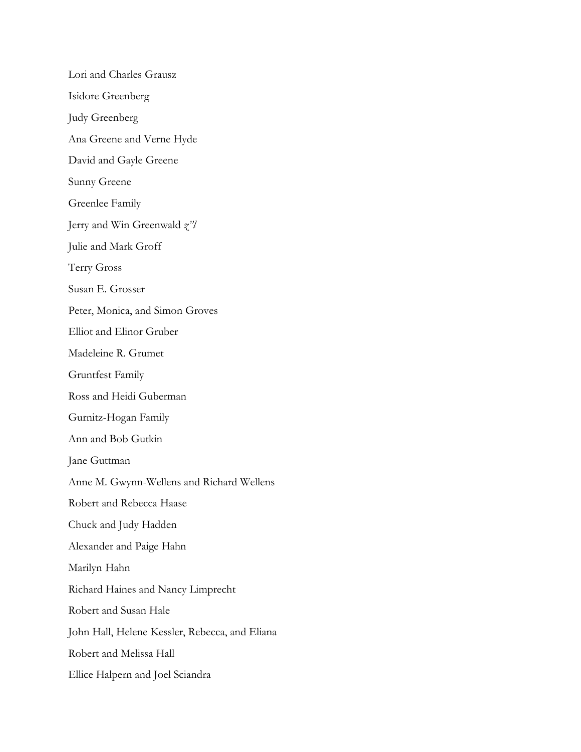Lori and Charles Grausz Isidore Greenberg Judy Greenberg Ana Greene and Verne Hyde David and Gayle Greene Sunny Greene Greenlee Family Jerry and Win Greenwald *z"l* Julie and Mark Groff Terry Gross Susan E. Grosser Peter, Monica, and Simon Groves Elliot and Elinor Gruber Madeleine R. Grumet Gruntfest Family Ross and Heidi Guberman Gurnitz-Hogan Family Ann and Bob Gutkin Jane Guttman Anne M. Gwynn-Wellens and Richard Wellens Robert and Rebecca Haase Chuck and Judy Hadden Alexander and Paige Hahn Marilyn Hahn Richard Haines and Nancy Limprecht Robert and Susan Hale John Hall, Helene Kessler, Rebecca, and Eliana Robert and Melissa Hall Ellice Halpern and Joel Sciandra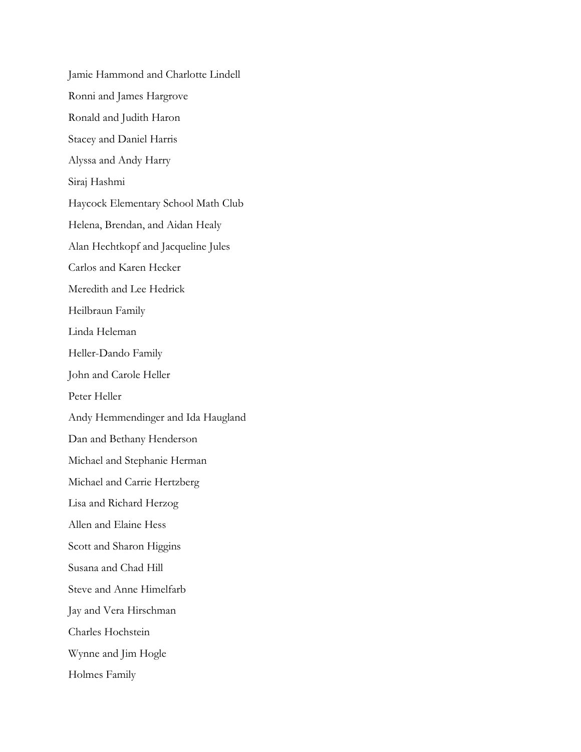Jamie Hammond and Charlotte Lindell Ronni and James Hargrove Ronald and Judith Haron Stacey and Daniel Harris Alyssa and Andy Harry Siraj Hashmi Haycock Elementary School Math Club Helena, Brendan, and Aidan Healy Alan Hechtkopf and Jacqueline Jules Carlos and Karen Hecker Meredith and Lee Hedrick Heilbraun Family Linda Heleman Heller-Dando Family John and Carole Heller Peter Heller Andy Hemmendinger and Ida Haugland Dan and Bethany Henderson Michael and Stephanie Herman Michael and Carrie Hertzberg Lisa and Richard Herzog Allen and Elaine Hess Scott and Sharon Higgins Susana and Chad Hill Steve and Anne Himelfarb Jay and Vera Hirschman Charles Hochstein Wynne and Jim Hogle Holmes Family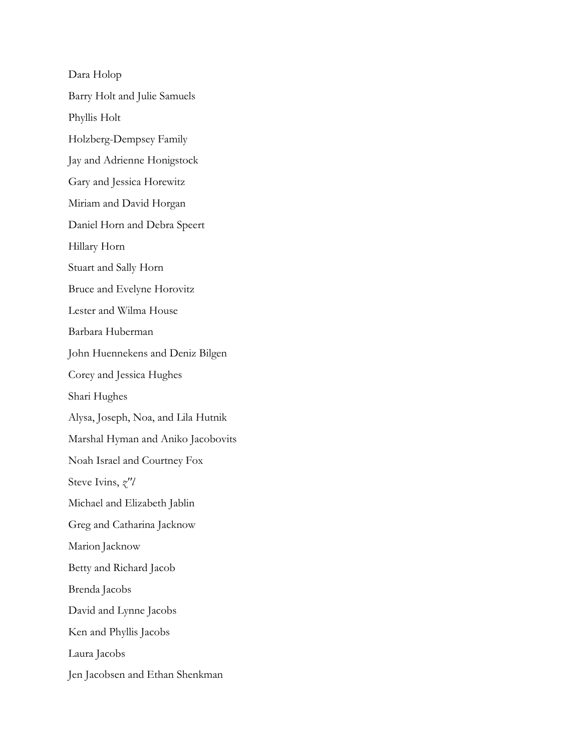Dara Holop Barry Holt and Julie Samuels Phyllis Holt Holzberg-Dempsey Family Jay and Adrienne Honigstock Gary and Jessica Horewitz Miriam and David Horgan Daniel Horn and Debra Speert Hillary Horn Stuart and Sally Horn Bruce and Evelyne Horovitz Lester and Wilma House Barbara Huberman John Huennekens and Deniz Bilgen Corey and Jessica Hughes Shari Hughes Alysa, Joseph, Noa, and Lila Hutnik Marshal Hyman and Aniko Jacobovits Noah Israel and Courtney Fox Steve Ivins, *z"l* Michael and Elizabeth Jablin Greg and Catharina Jacknow Marion Jacknow Betty and Richard Jacob Brenda Jacobs David and Lynne Jacobs Ken and Phyllis Jacobs Laura Jacobs Jen Jacobsen and Ethan Shenkman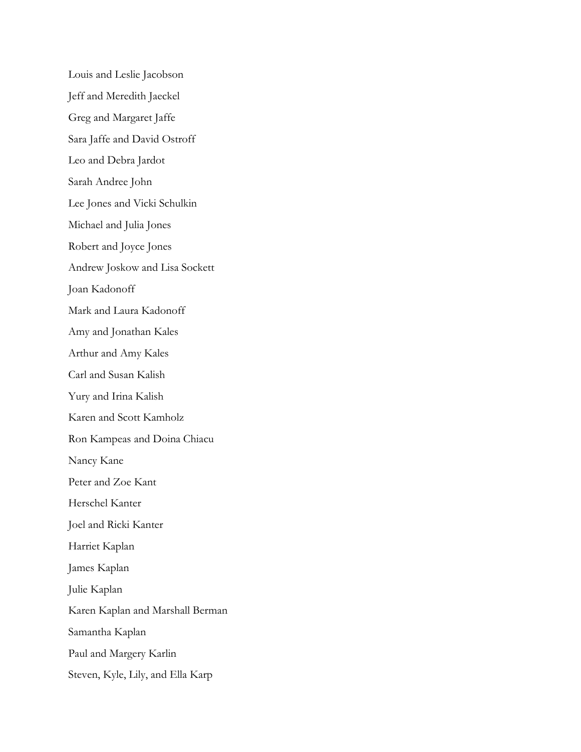Louis and Leslie Jacobson Jeff and Meredith Jaeckel Greg and Margaret Jaffe Sara Jaffe and David Ostroff Leo and Debra Jardot Sarah Andree John Lee Jones and Vicki Schulkin Michael and Julia Jones Robert and Joyce Jones Andrew Joskow and Lisa Sockett Joan Kadonoff Mark and Laura Kadonoff Amy and Jonathan Kales Arthur and Amy Kales Carl and Susan Kalish Yury and Irina Kalish Karen and Scott Kamholz Ron Kampeas and Doina Chiacu Nancy Kane Peter and Zoe Kant Herschel Kanter Joel and Ricki Kanter Harriet Kaplan James Kaplan Julie Kaplan Karen Kaplan and Marshall Berman Samantha Kaplan Paul and Margery Karlin Steven, Kyle, Lily, and Ella Karp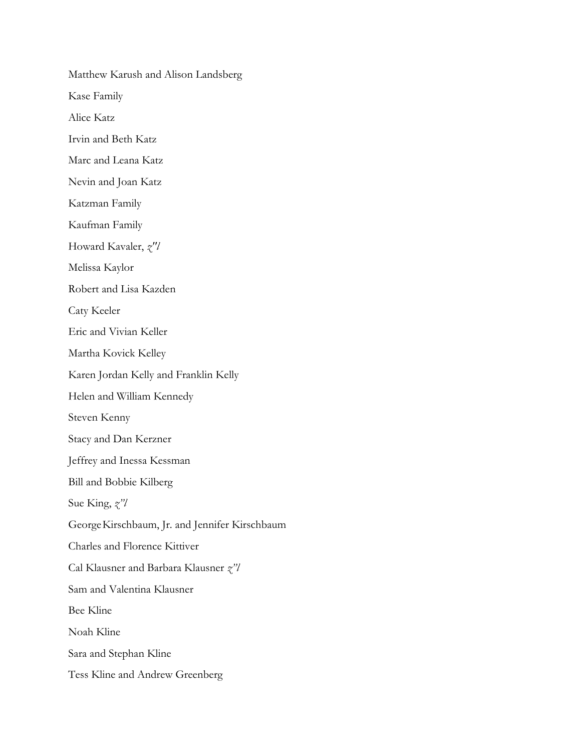Matthew Karush and Alison Landsberg Kase Family Alice Katz Irvin and Beth Katz Marc and Leana Katz Nevin and Joan Katz Katzman Family Kaufman Family Howard Kavaler, *z"l* Melissa Kaylor Robert and Lisa Kazden Caty Keeler Eric and Vivian Keller Martha Kovick Kelley Karen Jordan Kelly and Franklin Kelly Helen and William Kennedy Steven Kenny Stacy and Dan Kerzner Jeffrey and Inessa Kessman Bill and Bobbie Kilberg Sue King, *z"l* GeorgeKirschbaum, Jr. and Jennifer Kirschbaum Charles and Florence Kittiver Cal Klausner and Barbara Klausner *z"l* Sam and Valentina Klausner Bee Kline Noah Kline Sara and Stephan Kline Tess Kline and Andrew Greenberg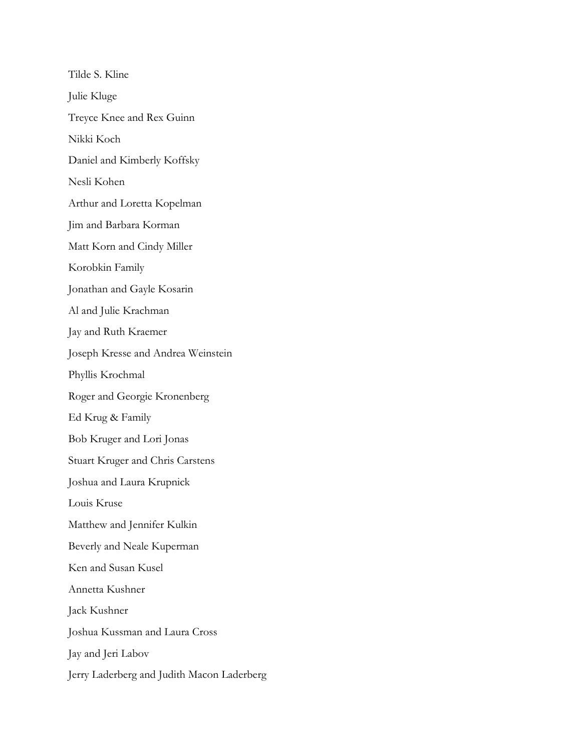Tilde S. Kline Julie Kluge Treyce Knee and Rex Guinn Nikki Koch Daniel and Kimberly Koffsky Nesli Kohen Arthur and Loretta Kopelman Jim and Barbara Korman Matt Korn and Cindy Miller Korobkin Family Jonathan and Gayle Kosarin Al and Julie Krachman Jay and Ruth Kraemer Joseph Kresse and Andrea Weinstein Phyllis Krochmal Roger and Georgie Kronenberg Ed Krug & Family Bob Kruger and Lori Jonas Stuart Kruger and Chris Carstens Joshua and Laura Krupnick Louis Kruse Matthew and Jennifer Kulkin Beverly and Neale Kuperman Ken and Susan Kusel Annetta Kushner Jack Kushner Joshua Kussman and Laura Cross Jay and Jeri Labov Jerry Laderberg and Judith Macon Laderberg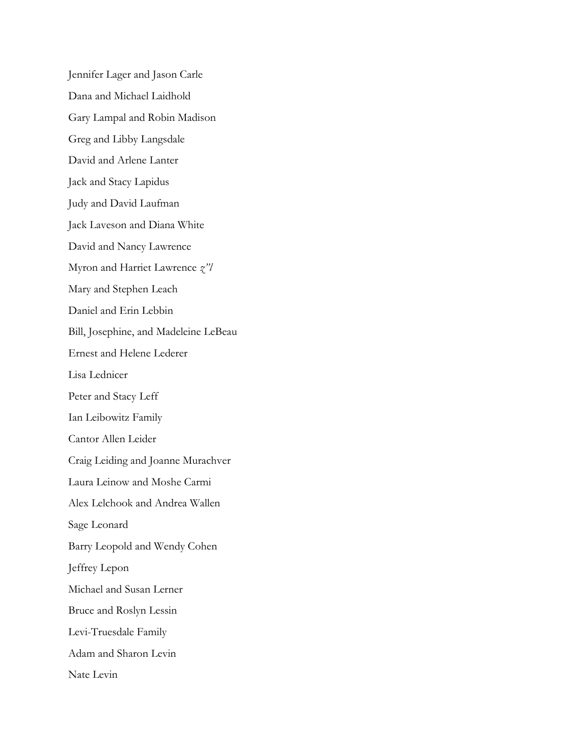Jennifer Lager and Jason Carle Dana and Michael Laidhold Gary Lampal and Robin Madison Greg and Libby Langsdale David and Arlene Lanter Jack and Stacy Lapidus Judy and David Laufman Jack Laveson and Diana White David and Nancy Lawrence Myron and Harriet Lawrence *z"l* Mary and Stephen Leach Daniel and Erin Lebbin Bill, Josephine, and Madeleine LeBeau Ernest and Helene Lederer Lisa Lednicer Peter and Stacy Leff Ian Leibowitz Family Cantor Allen Leider Craig Leiding and Joanne Murachver Laura Leinow and Moshe Carmi Alex Lelchook and Andrea Wallen Sage Leonard Barry Leopold and Wendy Cohen Jeffrey Lepon Michael and Susan Lerner Bruce and Roslyn Lessin Levi-Truesdale Family Adam and Sharon Levin Nate Levin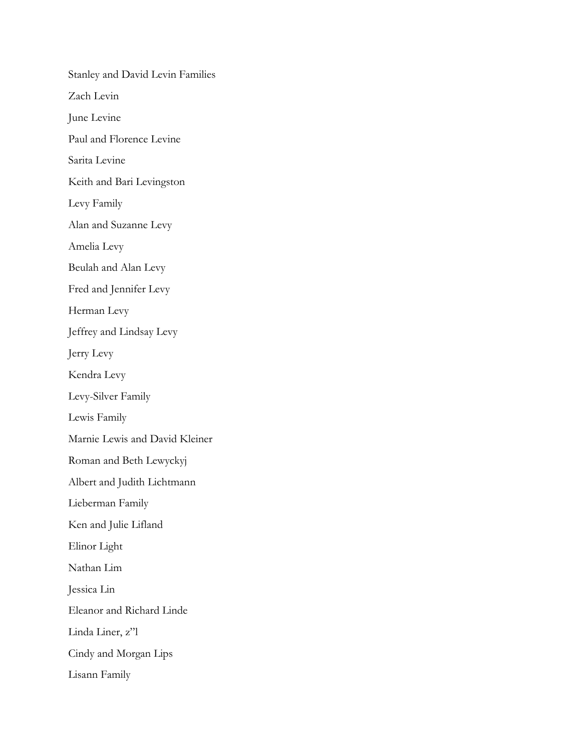Stanley and David Levin Families Zach Levin June Levine Paul and Florence Levine Sarita Levine Keith and Bari Levingston Levy Family Alan and Suzanne Levy Amelia Levy Beulah and Alan Levy Fred and Jennifer Levy Herman Levy Jeffrey and Lindsay Levy Jerry Levy Kendra Levy Levy-Silver Family Lewis Family Marnie Lewis and David Kleiner Roman and Beth Lewyckyj Albert and Judith Lichtmann Lieberman Family Ken and Julie Lifland Elinor Light Nathan Lim Jessica Lin Eleanor and Richard Linde Linda Liner, z"l Cindy and Morgan Lips Lisann Family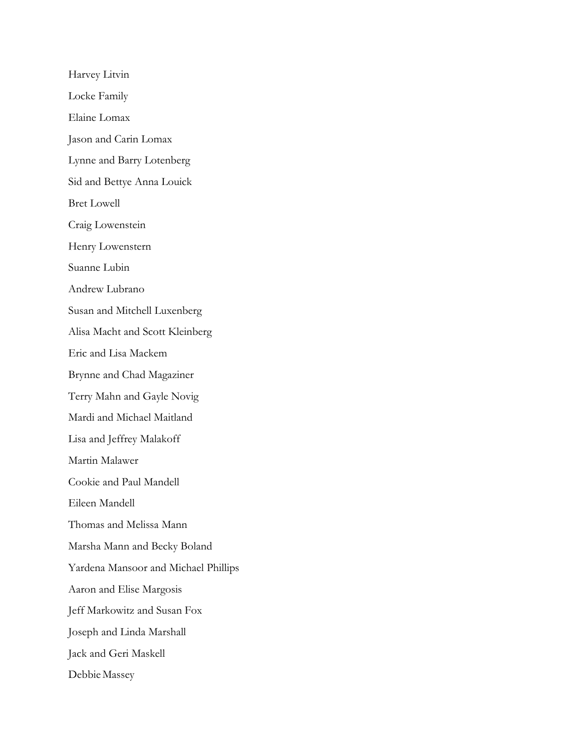Harvey Litvin Locke Family Elaine Lomax Jason and Carin Lomax Lynne and Barry Lotenberg Sid and Bettye Anna Louick Bret Lowell Craig Lowenstein Henry Lowenstern Suanne Lubin Andrew Lubrano Susan and Mitchell Luxenberg Alisa Macht and Scott Kleinberg Eric and Lisa Mackem Brynne and Chad Magaziner Terry Mahn and Gayle Novig Mardi and Michael Maitland Lisa and Jeffrey Malakoff Martin Malawer Cookie and Paul Mandell Eileen Mandell Thomas and Melissa Mann Marsha Mann and Becky Boland Yardena Mansoor and Michael Phillips Aaron and Elise Margosis Jeff Markowitz and Susan Fox Joseph and Linda Marshall Jack and Geri Maskell Debbie Massey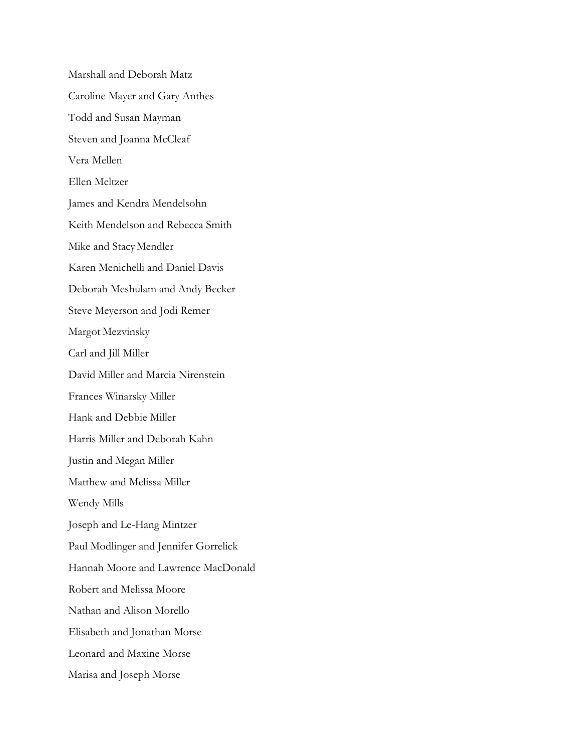Marshall and Deborah Matz Caroline Mayer and Gary Anthes Todd and Susan Mayman Steven and Joanna McCleaf Vera Mellen Ellen Meltzer James and Kendra Mendelsohn Keith Mendelson and Rebecca Smith Mike and StacyMendler Karen Menichelli and Daniel Davis Deborah Meshulam and Andy Becker Steve Meyerson and Jodi Remer Margot Mezvinsky Carl and Jill Miller David Miller and Marcia Nirenstein Frances Winarsky Miller Hank and Debbie Miller Harris Miller and Deborah Kahn Justin and Megan Miller Matthew and Melissa Miller Wendy Mills Joseph and Le-Hang Mintzer Paul Modlinger and Jennifer Gorrelick Hannah Moore and Lawrence MacDonald Robert and Melissa Moore Nathan and Alison Morello Elisabeth and Jonathan Morse Leonard and Maxine Morse Marisa and Joseph Morse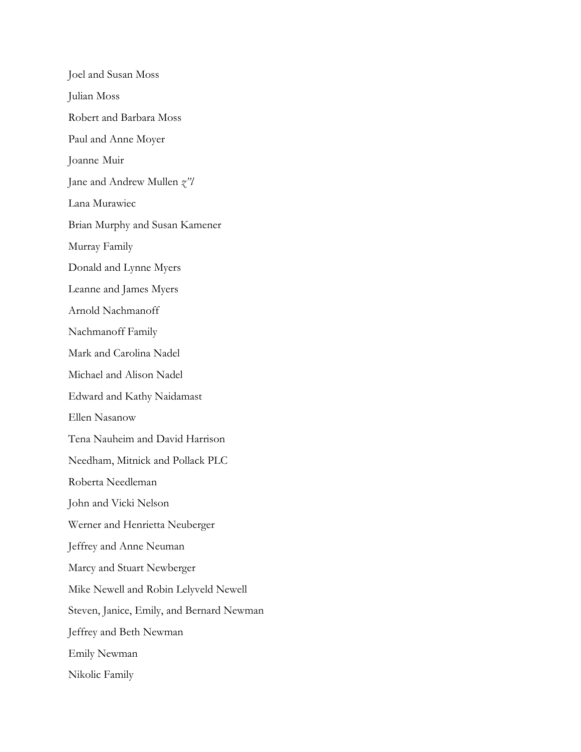Joel and Susan Moss Julian Moss Robert and Barbara Moss Paul and Anne Moyer Joanne Muir Jane and Andrew Mullen *z"l* Lana Murawiec Brian Murphy and Susan Kamener Murray Family Donald and Lynne Myers Leanne and James Myers Arnold Nachmanoff Nachmanoff Family Mark and Carolina Nadel Michael and Alison Nadel Edward and Kathy Naidamast Ellen Nasanow Tena Nauheim and David Harrison Needham, Mitnick and Pollack PLC Roberta Needleman John and Vicki Nelson Werner and Henrietta Neuberger Jeffrey and Anne Neuman Marcy and Stuart Newberger Mike Newell and Robin Lelyveld Newell Steven, Janice, Emily, and Bernard Newman Jeffrey and Beth Newman Emily Newman Nikolic Family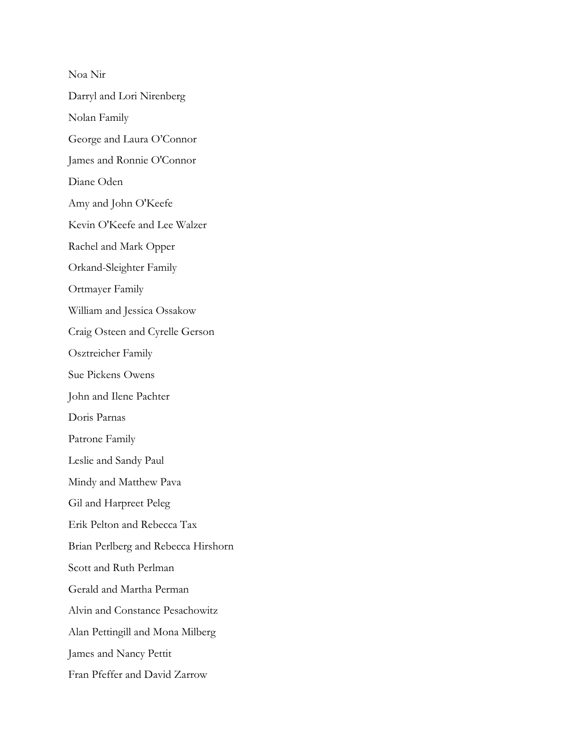Noa Nir Darryl and Lori Nirenberg Nolan Family George and Laura O'Connor James and Ronnie O'Connor Diane Oden Amy and John O'Keefe Kevin O'Keefe and Lee Walzer Rachel and Mark Opper Orkand-Sleighter Family Ortmayer Family William and Jessica Ossakow Craig Osteen and Cyrelle Gerson Osztreicher Family Sue Pickens Owens John and Ilene Pachter Doris Parnas Patrone Family Leslie and Sandy Paul Mindy and Matthew Pava Gil and Harpreet Peleg Erik Pelton and Rebecca Tax Brian Perlberg and Rebecca Hirshorn Scott and Ruth Perlman Gerald and Martha Perman Alvin and Constance Pesachowitz Alan Pettingill and Mona Milberg James and Nancy Pettit Fran Pfeffer and David Zarrow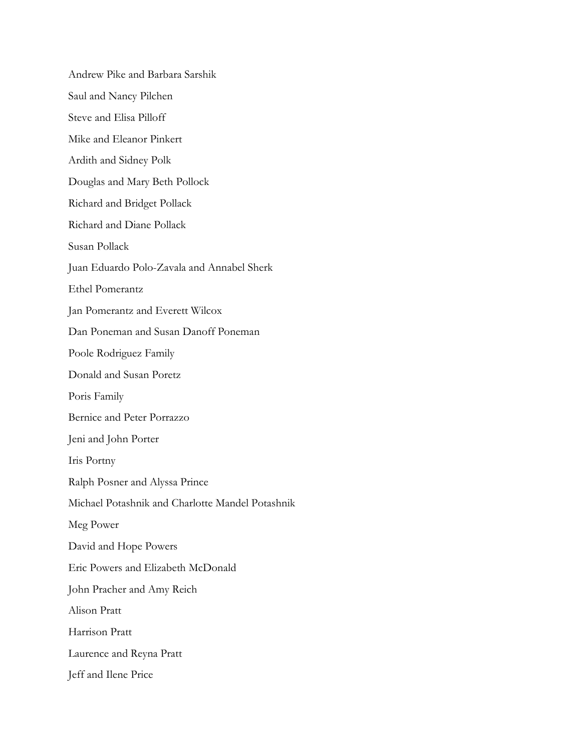Andrew Pike and Barbara Sarshik Saul and Nancy Pilchen Steve and Elisa Pilloff Mike and Eleanor Pinkert Ardith and Sidney Polk Douglas and Mary Beth Pollock Richard and Bridget Pollack Richard and Diane Pollack Susan Pollack Juan Eduardo Polo-Zavala and Annabel Sherk Ethel Pomerantz Jan Pomerantz and Everett Wilcox Dan Poneman and Susan Danoff Poneman Poole Rodriguez Family Donald and Susan Poretz Poris Family Bernice and Peter Porrazzo Jeni and John Porter Iris Portny Ralph Posner and Alyssa Prince Michael Potashnik and Charlotte Mandel Potashnik Meg Power David and Hope Powers Eric Powers and Elizabeth McDonald John Pracher and Amy Reich Alison Pratt Harrison Pratt Laurence and Reyna Pratt Jeff and Ilene Price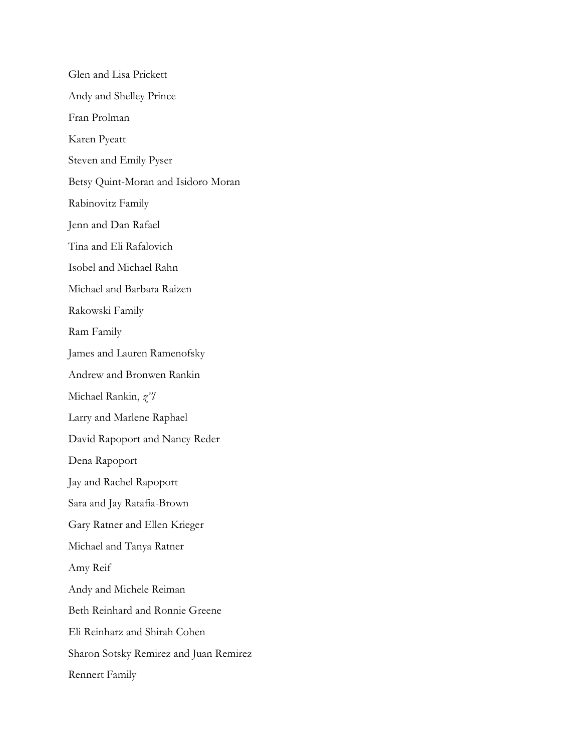Glen and Lisa Prickett Andy and Shelley Prince Fran Prolman Karen Pyeatt Steven and Emily Pyser Betsy Quint-Moran and Isidoro Moran Rabinovitz Family Jenn and Dan Rafael Tina and Eli Rafalovich Isobel and Michael Rahn Michael and Barbara Raizen Rakowski Family Ram Family James and Lauren Ramenofsky Andrew and Bronwen Rankin Michael Rankin, *z"l* Larry and Marlene Raphael David Rapoport and Nancy Reder Dena Rapoport Jay and Rachel Rapoport Sara and Jay Ratafia-Brown Gary Ratner and Ellen Krieger Michael and Tanya Ratner Amy Reif Andy and Michele Reiman Beth Reinhard and Ronnie Greene Eli Reinharz and Shirah Cohen Sharon Sotsky Remirez and Juan Remirez Rennert Family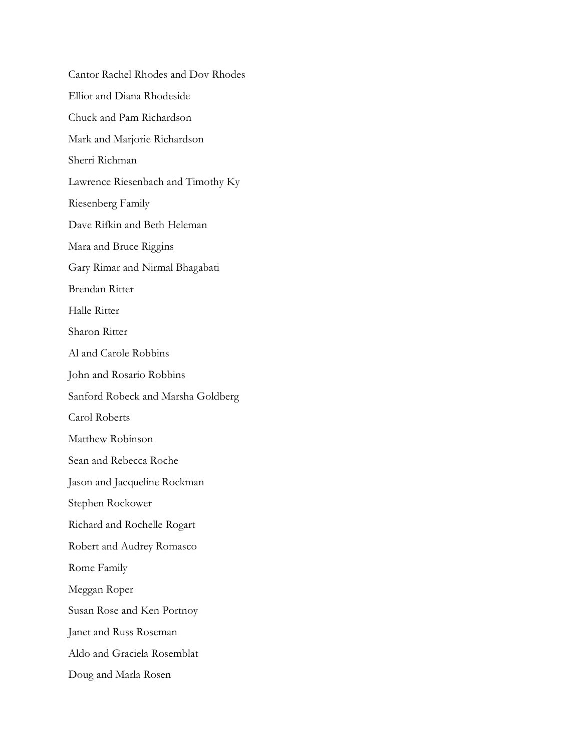Cantor Rachel Rhodes and Dov Rhodes Elliot and Diana Rhodeside Chuck and Pam Richardson Mark and Marjorie Richardson Sherri Richman Lawrence Riesenbach and Timothy Ky Riesenberg Family Dave Rifkin and Beth Heleman Mara and Bruce Riggins Gary Rimar and Nirmal Bhagabati Brendan Ritter Halle Ritter Sharon Ritter Al and Carole Robbins John and Rosario Robbins Sanford Robeck and Marsha Goldberg Carol Roberts Matthew Robinson Sean and Rebecca Roche Jason and Jacqueline Rockman Stephen Rockower Richard and Rochelle Rogart Robert and Audrey Romasco Rome Family Meggan Roper Susan Rose and Ken Portnoy Janet and Russ Roseman Aldo and Graciela Rosemblat Doug and Marla Rosen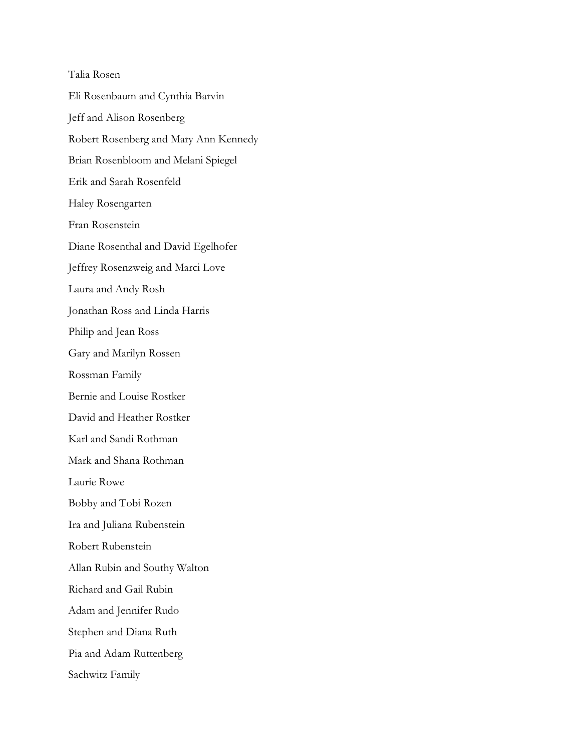Talia Rosen Eli Rosenbaum and Cynthia Barvin Jeff and Alison Rosenberg Robert Rosenberg and Mary Ann Kennedy Brian Rosenbloom and Melani Spiegel Erik and Sarah Rosenfeld Haley Rosengarten Fran Rosenstein Diane Rosenthal and David Egelhofer Jeffrey Rosenzweig and Marci Love Laura and Andy Rosh Jonathan Ross and Linda Harris Philip and Jean Ross Gary and Marilyn Rossen Rossman Family Bernie and Louise Rostker David and Heather Rostker Karl and Sandi Rothman Mark and Shana Rothman Laurie Rowe Bobby and Tobi Rozen Ira and Juliana Rubenstein Robert Rubenstein Allan Rubin and Southy Walton Richard and Gail Rubin Adam and Jennifer Rudo Stephen and Diana Ruth Pia and Adam Ruttenberg Sachwitz Family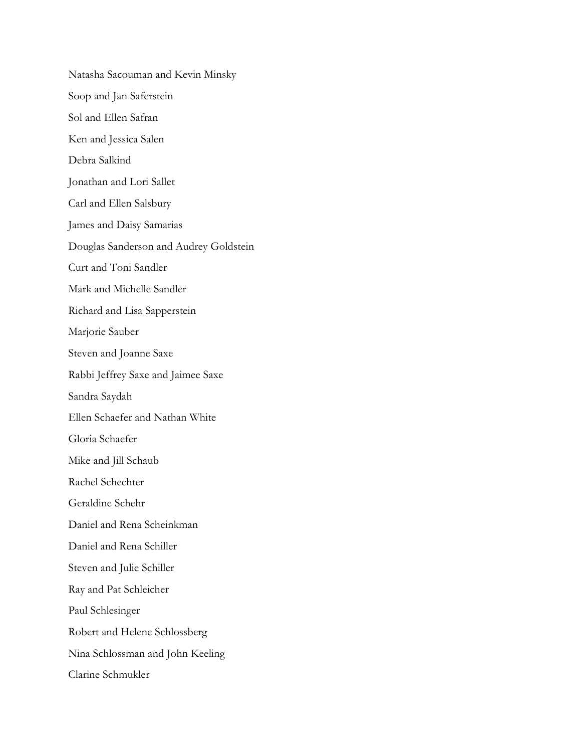Natasha Sacouman and Kevin Minsky Soop and Jan Saferstein Sol and Ellen Safran Ken and Jessica Salen Debra Salkind Jonathan and Lori Sallet Carl and Ellen Salsbury James and Daisy Samarias Douglas Sanderson and Audrey Goldstein Curt and Toni Sandler Mark and Michelle Sandler Richard and Lisa Sapperstein Marjorie Sauber Steven and Joanne Saxe Rabbi Jeffrey Saxe and Jaimee Saxe Sandra Saydah Ellen Schaefer and Nathan White Gloria Schaefer Mike and Jill Schaub Rachel Schechter Geraldine Schehr Daniel and Rena Scheinkman Daniel and Rena Schiller Steven and Julie Schiller Ray and Pat Schleicher Paul Schlesinger Robert and Helene Schlossberg Nina Schlossman and John Keeling Clarine Schmukler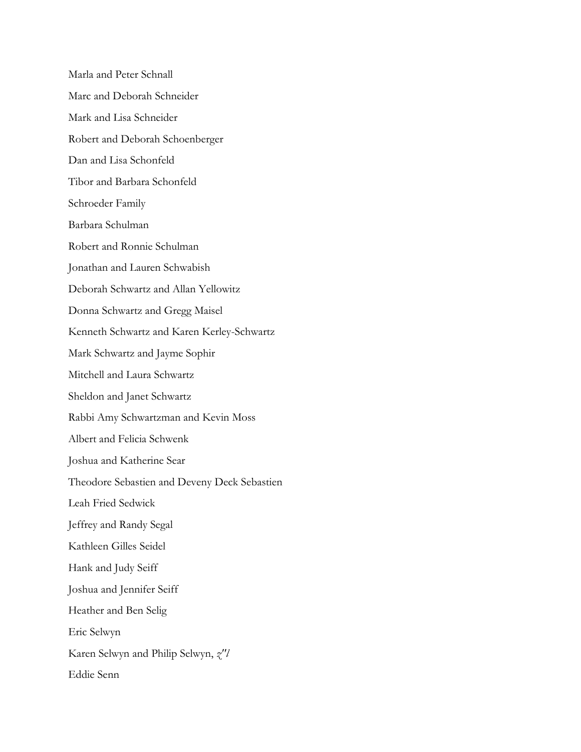Marla and Peter Schnall Marc and Deborah Schneider Mark and Lisa Schneider Robert and Deborah Schoenberger Dan and Lisa Schonfeld Tibor and Barbara Schonfeld Schroeder Family Barbara Schulman Robert and Ronnie Schulman Jonathan and Lauren Schwabish Deborah Schwartz and Allan Yellowitz Donna Schwartz and Gregg Maisel Kenneth Schwartz and Karen Kerley-Schwartz Mark Schwartz and Jayme Sophir Mitchell and Laura Schwartz Sheldon and Janet Schwartz Rabbi Amy Schwartzman and Kevin Moss Albert and Felicia Schwenk Joshua and Katherine Sear Theodore Sebastien and Deveny Deck Sebastien Leah Fried Sedwick Jeffrey and Randy Segal Kathleen Gilles Seidel Hank and Judy Seiff Joshua and Jennifer Seiff Heather and Ben Selig Eric Selwyn Karen Selwyn and Philip Selwyn, *z"l* Eddie Senn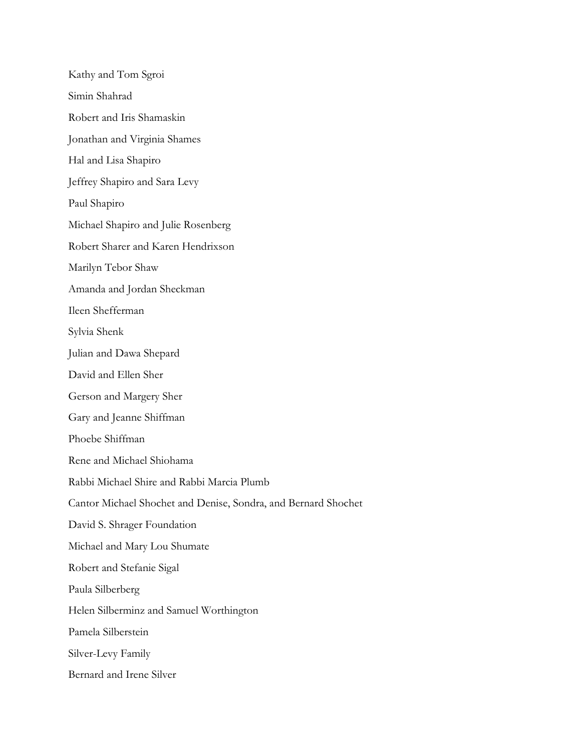Kathy and Tom Sgroi Simin Shahrad Robert and Iris Shamaskin Jonathan and Virginia Shames Hal and Lisa Shapiro Jeffrey Shapiro and Sara Levy Paul Shapiro Michael Shapiro and Julie Rosenberg Robert Sharer and Karen Hendrixson Marilyn Tebor Shaw Amanda and Jordan Sheckman Ileen Shefferman Sylvia Shenk Julian and Dawa Shepard David and Ellen Sher Gerson and Margery Sher Gary and Jeanne Shiffman Phoebe Shiffman Rene and Michael Shiohama Rabbi Michael Shire and Rabbi Marcia Plumb Cantor Michael Shochet and Denise, Sondra, and Bernard Shochet David S. Shrager Foundation Michael and Mary Lou Shumate Robert and Stefanie Sigal Paula Silberberg Helen Silberminz and Samuel Worthington Pamela Silberstein Silver-Levy Family Bernard and Irene Silver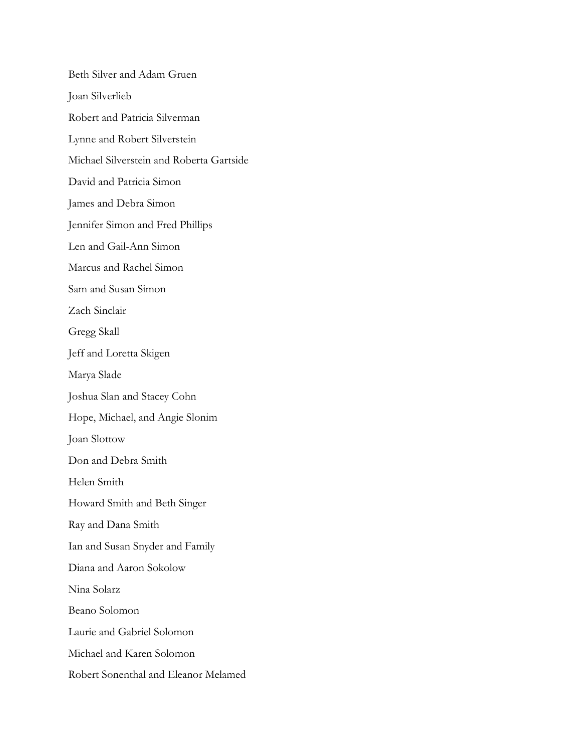Beth Silver and Adam Gruen Joan Silverlieb Robert and Patricia Silverman Lynne and Robert Silverstein Michael Silverstein and Roberta Gartside David and Patricia Simon James and Debra Simon Jennifer Simon and Fred Phillips Len and Gail-Ann Simon Marcus and Rachel Simon Sam and Susan Simon Zach Sinclair Gregg Skall Jeff and Loretta Skigen Marya Slade Joshua Slan and Stacey Cohn Hope, Michael, and Angie Slonim Joan Slottow Don and Debra Smith Helen Smith Howard Smith and Beth Singer Ray and Dana Smith Ian and Susan Snyder and Family Diana and Aaron Sokolow Nina Solarz Beano Solomon Laurie and Gabriel Solomon Michael and Karen Solomon Robert Sonenthal and Eleanor Melamed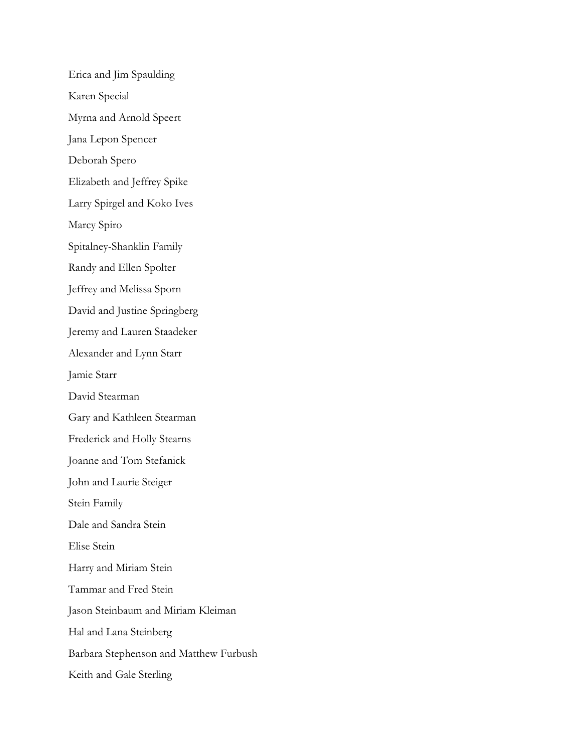Erica and Jim Spaulding Karen Special Myrna and Arnold Speert Jana Lepon Spencer Deborah Spero Elizabeth and Jeffrey Spike Larry Spirgel and Koko Ives Marcy Spiro Spitalney-Shanklin Family Randy and Ellen Spolter Jeffrey and Melissa Sporn David and Justine Springberg Jeremy and Lauren Staadeker Alexander and Lynn Starr Jamie Starr David Stearman Gary and Kathleen Stearman Frederick and Holly Stearns Joanne and Tom Stefanick John and Laurie Steiger Stein Family Dale and Sandra Stein Elise Stein Harry and Miriam Stein Tammar and Fred Stein Jason Steinbaum and Miriam Kleiman Hal and Lana Steinberg Barbara Stephenson and Matthew Furbush Keith and Gale Sterling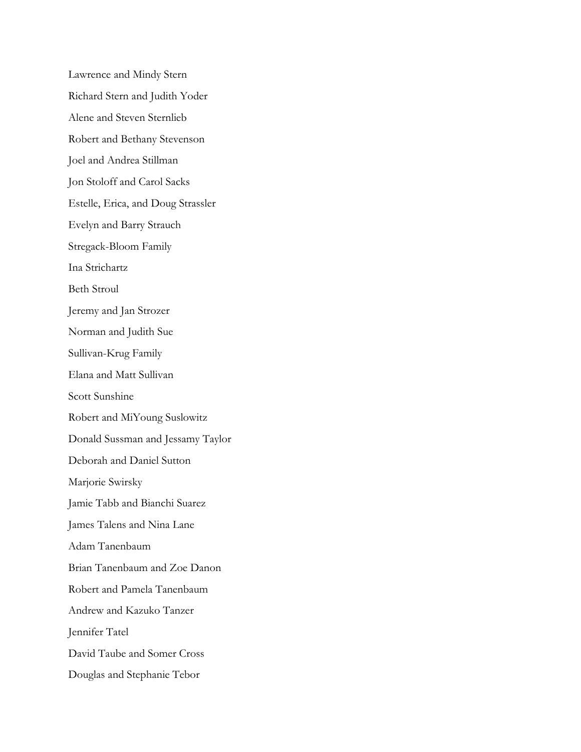Lawrence and Mindy Stern Richard Stern and Judith Yoder Alene and Steven Sternlieb Robert and Bethany Stevenson Joel and Andrea Stillman Jon Stoloff and Carol Sacks Estelle, Erica, and Doug Strassler Evelyn and Barry Strauch Stregack-Bloom Family Ina Strichartz Beth Stroul Jeremy and Jan Strozer Norman and Judith Sue Sullivan-Krug Family Elana and Matt Sullivan Scott Sunshine Robert and MiYoung Suslowitz Donald Sussman and Jessamy Taylor Deborah and Daniel Sutton Marjorie Swirsky Jamie Tabb and Bianchi Suarez James Talens and Nina Lane Adam Tanenbaum Brian Tanenbaum and Zoe Danon Robert and Pamela Tanenbaum Andrew and Kazuko Tanzer Jennifer Tatel David Taube and Somer Cross Douglas and Stephanie Tebor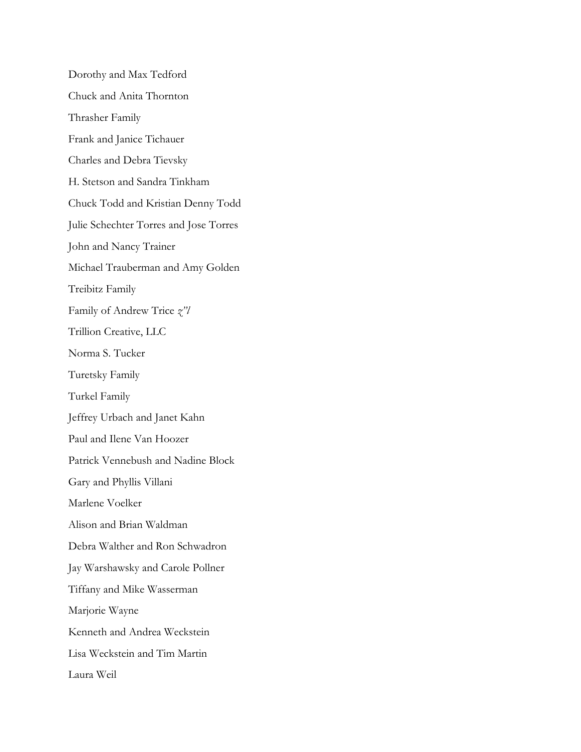Dorothy and Max Tedford Chuck and Anita Thornton Thrasher Family Frank and Janice Tichauer Charles and Debra Tievsky H. Stetson and Sandra Tinkham Chuck Todd and Kristian Denny Todd Julie Schechter Torres and Jose Torres John and Nancy Trainer Michael Trauberman and Amy Golden Treibitz Family Family of Andrew Trice *z"l* Trillion Creative, LLC Norma S. Tucker Turetsky Family Turkel Family Jeffrey Urbach and Janet Kahn Paul and Ilene Van Hoozer Patrick Vennebush and Nadine Block Gary and Phyllis Villani Marlene Voelker Alison and Brian Waldman Debra Walther and Ron Schwadron Jay Warshawsky and Carole Pollner Tiffany and Mike Wasserman Marjorie Wayne Kenneth and Andrea Weckstein Lisa Weckstein and Tim Martin Laura Weil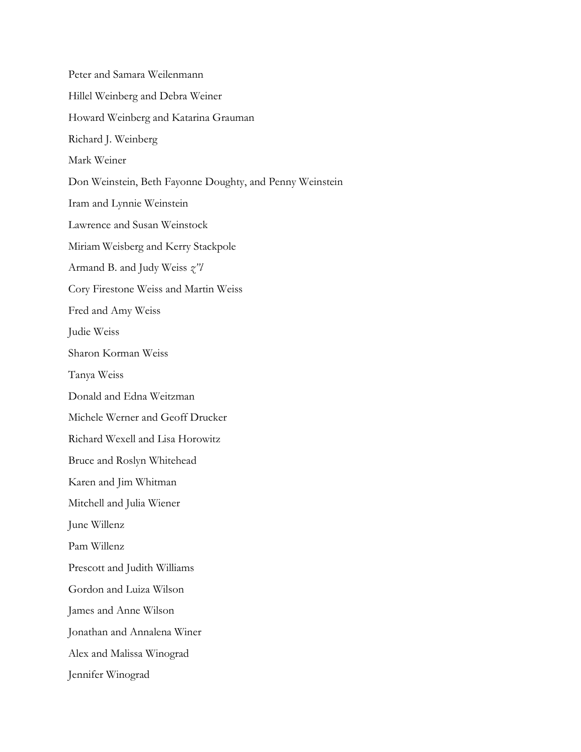Peter and Samara Weilenmann Hillel Weinberg and Debra Weiner Howard Weinberg and Katarina Grauman Richard J. Weinberg Mark Weiner Don Weinstein, Beth Fayonne Doughty, and Penny Weinstein Iram and Lynnie Weinstein Lawrence and Susan Weinstock Miriam Weisberg and Kerry Stackpole Armand B. and Judy Weiss *z"l* Cory Firestone Weiss and Martin Weiss Fred and Amy Weiss Judie Weiss Sharon Korman Weiss Tanya Weiss Donald and Edna Weitzman Michele Werner and Geoff Drucker Richard Wexell and Lisa Horowitz Bruce and Roslyn Whitehead Karen and Jim Whitman Mitchell and Julia Wiener June Willenz Pam Willenz Prescott and Judith Williams Gordon and Luiza Wilson James and Anne Wilson Jonathan and Annalena Winer Alex and Malissa Winograd Jennifer Winograd